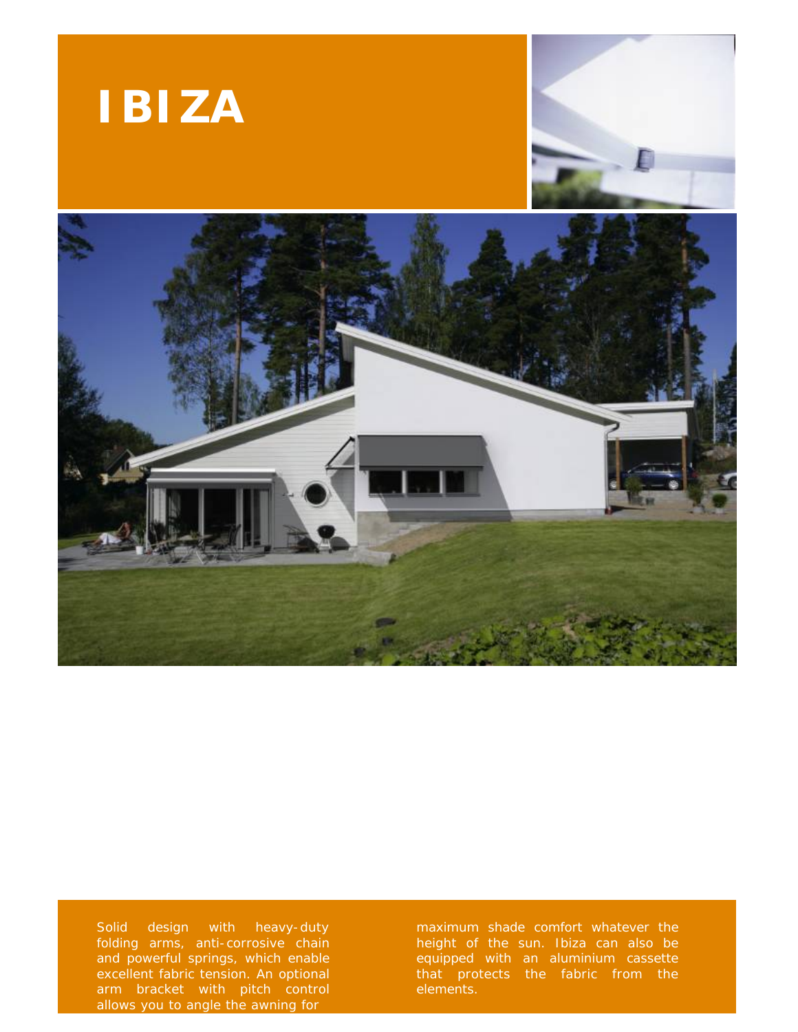





Solid design with heavy-duty folding arms, anti-corrosive chain and powerful springs, which enable excellent fabric tension. An optional arm bracket with pitch control allows you to angle the awning for

maximum shade comfort whatever the height of the sun. Ibiza can also be equipped with an aluminium cassette that protects the fabric from the elements.